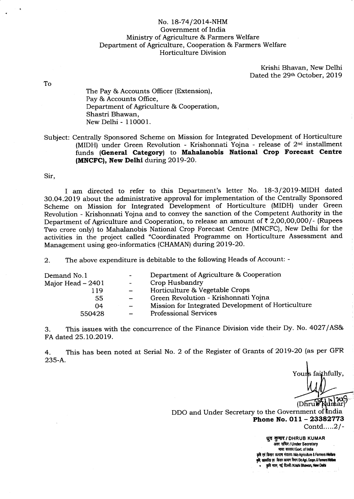## No. 18-74/2014-NHM Government of India Ministry of Agriculture & Farmers Welfare Department of Agriculture, Cooperation & Farmers Welfare Horticulture Division

Krishi Bhavan, New Delhi Dated the 29th October, 2019

To

The Pay & Accounts Officer (Extension), Pay & Accounts Office, Department of Agriculture & Cooperation, Shastri Bhawan, New Delhi - 110001.

Subject: Centrally Sponsored Scheme on Mission for Integrated Development of Horticulture (MIDH) under Green Revolution - Krishonnati Yojna - release of  $2<sup>nd</sup>$  installment funds (General Category) to Mahalanobis National Crop Forecast Centre (MNCFC), New Delhi during 2019-20.

Sir,

I am directed to refer to this Department's letter No. 18-3/2019-MIDH dated 9O.O4.2O19 about the administrative approval for implementation of the Centrally Sponsored Scheme on Mission for Integrated Development of Horticulture (MIDH) under Green Revolution - Krishonnati Yojna and to convey the sanction of the Competent Authority in the Department of Agriculture and Cooperation, to release an amount of  $\bar{\tau}$  2,00,00,000/- (Rupees TWo crore only) to Mahalanobis National Crop Forecast Centre (MNCFC), New Delhi for the activities in the project called "Coordinated Programme on Horticulture Assessment and Management using geo-informatics (CHAMAN) during 20 19 -2O.

2. The above expenditure is debitable to the following Heads of Account: -

| Demand No.1       | $\sim$ .                 | Department of Agriculture & Cooperation            |
|-------------------|--------------------------|----------------------------------------------------|
| Major Head – 2401 | $\overline{\phantom{a}}$ | Crop Husbandry                                     |
| 119               |                          | Horticulture & Vegetable Crops                     |
| 55                |                          | Green Revolution - Krishonnati Yojna               |
| 04                |                          | Mission for Integrated Development of Horticulture |
| 550428            | $\qquad \qquad =$        | <b>Professional Services</b>                       |
|                   |                          |                                                    |

3. This issues with the concurrence of the Finance Division vide their Dy. No. 4027 /ASe' FA dated 25.10.2019.

4. 235-A This has been noted at Serial No. 2 of the Register of Grants of 2OI9-20 (as per GFR

Yours faithfully,

 $(Dhrub$ 

DDO and Under Secretary to the Government of India Phone No. 011 - 23382773

Contd... ..2 / -

ध्**व कुमार / DHRUB KUMAR** अवर सचिद / Under Secretary मास्त सरकार/Govt. of India एवं किसान कल्याण मंत्रालय / M/o Agriculture & Farmers Welfare सहकारिता एव<sup>ं</sup> किसान कल्याण विमाग/Do Agri. Coopn. & Farmers Wellare कृषि भवन, नई दिल्ली /Krishi Bhawan, New Delhi